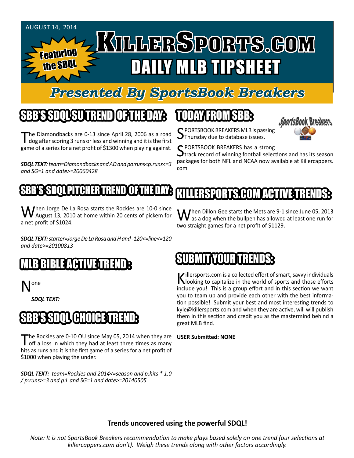

### *Presented By SportsBook Breakers*

## SBB'S SDQL SU TREND OF THE DAY:

The Diamondbacks are 0-13 since April 28, 2006 as a road dog after scoring 3 runs or less and winning and it is the first game of a series for a net profit of \$1300 when playing against.

*SDQL TEXT: team=Diamondbacks and AD and po:runs<p:runs<=3 and SG=1 and date>=20060428*

# TODAY HAOMSBB



S PORTSBOOK BREAKERS MLB is passing<br>SThursday due to database issues.

C PORTSBOOK BREAKERS has a strong

 $\mathbf{\mathcal{J}}$ track record of winning football selections and has its season packages for both NFL and NCAA now available at Killercappers. com

#### SBB'S SDQL PITCHER KILLERSPORTS.COM ACT

When Jorge De La Rosa starts the Rockies are 10-0 since<br>August 13, 2010 at home within 20 cents of pickem for a net profit of \$1024.

*SDQL TEXT: starter=Jorge De La Rosa and H and -120<=line<=120 and date>=20100813*

### MLB BIBLE ACTIVE TRENDE

N<sup>one</sup>

*SDQL TEXT:* 

### SBB'S SDQL CHOICE TREND

The Rockies are 0-10 OU since May 05, 2014 when they are off a loss in which they had at least three times as many hits as runs and it is the first game of a series for a net profit of \$1000 when playing the under. The Rockies are 0-10 OU since May 05, 2014 when they are USER Submitted: NONE

*SDQL TEXT: team=Rockies and 2014<=season and p:hits \* 1.0 / p:runs>=3 and p:L and SG=1 and date>=20140505*

When Dillon Gee starts the Mets are 9-1 since June 05, 2013<br>as a dog when the bullpen has allowed at least one run for two straight games for a net profit of \$1129.

### IBMIT YOUR TRE

Killersports.com is a collected effort of smart, savvy individuals<br>Nooking to capitalize in the world of sports and those efforts include you! This is a group effort and in this section we want you to team up and provide each other with the best information possible! Submit your best and most interesting trends to kyle@killersports.com and when they are active, will will publish them in this section and credit you as the mastermind behind a great MLB find.

#### **Trends uncovered using the powerful SDQL!**

*Note: It is not SportsBook Breakers recommendation to make plays based solely on one trend (our selections at killercappers.com don't). Weigh these trends along with other factors accordingly.*